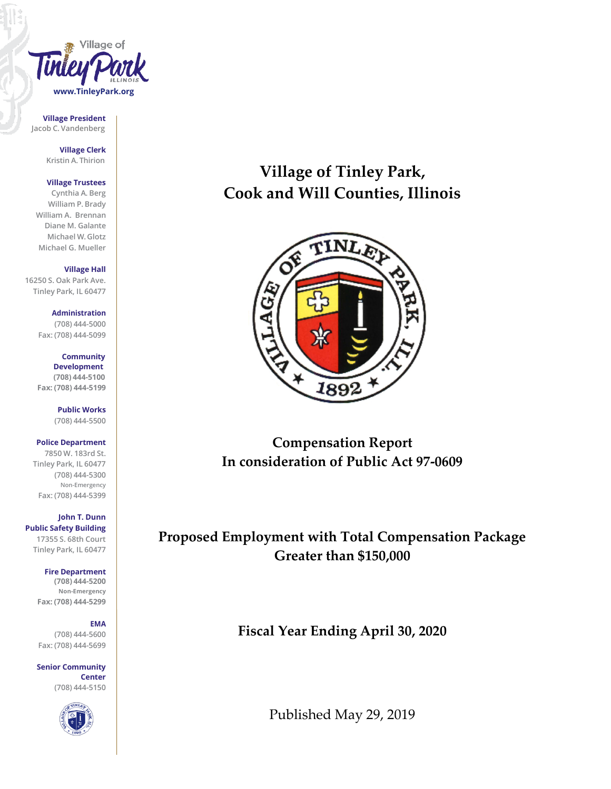

**Village President Jacob C. Vandenberg**

> **Village Clerk Kristin A. Thirion**

#### **Village Trustees**

**Cynthia A. Berg William P. Brady William A. Brennan Diane M. Galante Michael W. Glotz Michael G. Mueller**

**Village Hall**

**16250 S. Oak Park Ave. Tinley Park, IL 60477**

> **Administration (708) 444-5000 Fax: (708) 444-5099**

**Community Development (708) 444-5100 Fax: (708) 444-5199**

> **Public Works (708) 444-5500**

### **Police Department**

**7850 W. 183rd St. Tinley Park, IL 60477 (708) 444-5300 Non-Emergency Fax: (708) 444-5399**

**John T. Dunn Public Safety Building 17355 S. 68th Court Tinley Park, IL 60477**

#### **Fire Department**

**(708) 444-5200 Non-Emergency Fax: (708) 444-5299**

#### **EMA**

**(708) 444-5600 Fax: (708) 444-5699**

**Senior Community Center (708) 444-5150**



# **Village of Tinley Park, Cook and Will Counties, Illinois**



**Compensation Report In consideration of Public Act 97-0609**

**Proposed Employment with Total Compensation Package Greater than \$150,000**

**Fiscal Year Ending April 30, 2020**

Published May 29, 2019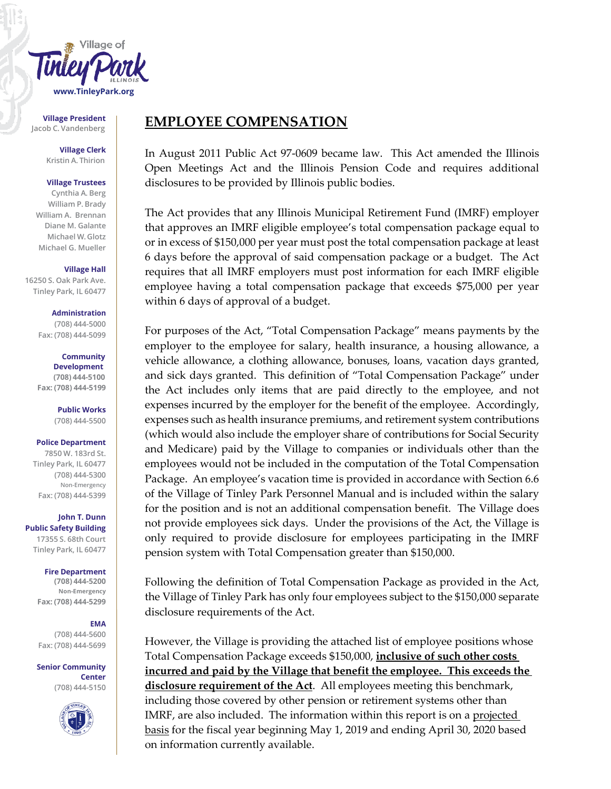

**Village President**

**Village Clerk Kristin A. Thirion**

#### **Village Trustees**

**Cynthia A. Berg William P. Brady William A. Brennan Diane M. Galante Michael W. Glotz Michael G. Mueller**

#### **Village Hall**

**16250 S. Oak Park Ave. Tinley Park, IL 60477**

> **Administration (708) 444-5000 Fax: (708) 444-5099**

**Community Development (708) 444-5100 Fax: (708) 444-5199**

**Public Works (708) 444-5500**

## **Police Department**

**7850 W. 183rd St. Tinley Park, IL 60477 (708) 444-5300 Non-Emergency Fax: (708) 444-5399**

**John T. Dunn Public Safety Building 17355 S. 68th Court Tinley Park, IL 60477**

> **Fire Department (708) 444-5200 Non-Emergency Fax: (708) 444-5299**

### **EMA**

**(708) 444-5600 Fax: (708) 444-5699**

**Senior Community Center (708) 444-5150**



# Village President **EMPLOYEE COMPENSATION**

In August 2011 Public Act 97-0609 became law. This Act amended the Illinois Open Meetings Act and the Illinois Pension Code and requires additional disclosures to be provided by Illinois public bodies.

The Act provides that any Illinois Municipal Retirement Fund (IMRF) employer that approves an IMRF eligible employee's total compensation package equal to or in excess of \$150,000 per year must post the total compensation package at least 6 days before the approval of said compensation package or a budget. The Act requires that all IMRF employers must post information for each IMRF eligible employee having a total compensation package that exceeds \$75,000 per year within 6 days of approval of a budget.

For purposes of the Act, "Total Compensation Package" means payments by the employer to the employee for salary, health insurance, a housing allowance, a vehicle allowance, a clothing allowance, bonuses, loans, vacation days granted, and sick days granted. This definition of "Total Compensation Package" under the Act includes only items that are paid directly to the employee, and not expenses incurred by the employer for the benefit of the employee. Accordingly, expenses such as health insurance premiums, and retirement system contributions (which would also include the employer share of contributions for Social Security and Medicare) paid by the Village to companies or individuals other than the employees would not be included in the computation of the Total Compensation Package. An employee's vacation time is provided in accordance with Section 6.6 of the Village of Tinley Park Personnel Manual and is included within the salary for the position and is not an additional compensation benefit. The Village does not provide employees sick days. Under the provisions of the Act, the Village is only required to provide disclosure for employees participating in the IMRF pension system with Total Compensation greater than \$150,000.

Following the definition of Total Compensation Package as provided in the Act, the Village of Tinley Park has only four employees subject to the \$150,000 separate disclosure requirements of the Act.

However, the Village is providing the attached list of employee positions whose Total Compensation Package exceeds \$150,000, **inclusive of such other costs incurred and paid by the Village that benefit the employee. This exceeds the disclosure requirement of the Act**. All employees meeting this benchmark, including those covered by other pension or retirement systems other than IMRF, are also included. The information within this report is on a projected basis for the fiscal year beginning May 1, 2019 and ending April 30, 2020 based on information currently available.